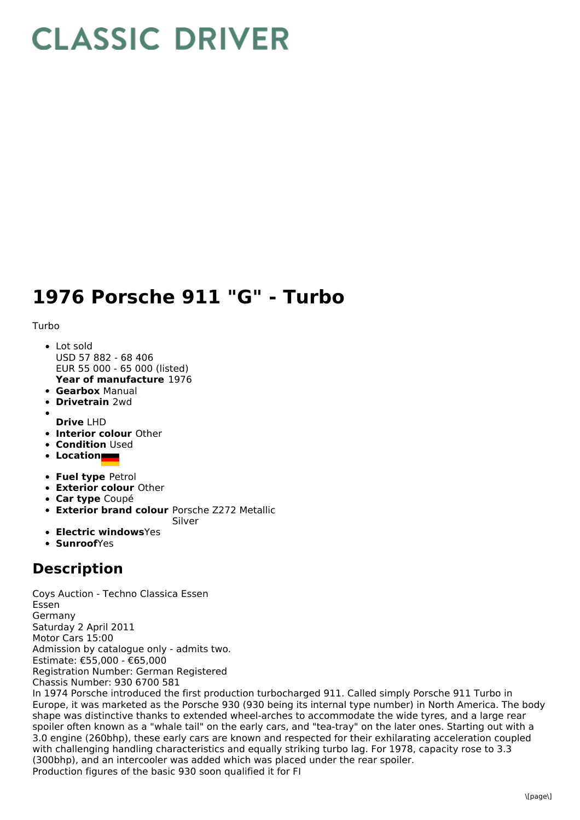## **CLASSIC DRIVER**

## **1976 Porsche 911 "G" - Turbo**

## Turbo

- **Year of manufacture** 1976 • Lot sold USD 57 882 - 68 406 EUR 55 000 - 65 000 (listed)
- **Gearbox** Manual
- **Drivetrain** 2wd
- **Drive** LHD
- **Interior colour** Other
- **Condition Used**
- **Location**
- **Fuel type** Petrol
- **Exterior colour** Other
- **Car type** Coupé
- **Exterior brand colour** Porsche Z272 Metallic Silver
- 
- **Electric windows**Yes
- **Sunroof**Yes

## **Description**

Coys Auction - Techno Classica Essen Essen Germany Saturday 2 April 2011 Motor Cars 15:00 Admission by catalogue only - admits two. Estimate: €55,000 - €65,000 Registration Number: German Registered Chassis Number: 930 6700 581

In 1974 Porsche introduced the first production turbocharged 911. Called simply Porsche 911 Turbo in Europe, it was marketed as the Porsche 930 (930 being its internal type number) in North America. The body shape was distinctive thanks to extended wheel-arches to accommodate the wide tyres, and a large rear spoiler often known as a "whale tail" on the early cars, and "tea-tray" on the later ones. Starting out with a 3.0 engine (260bhp), these early cars are known and respected for their exhilarating acceleration coupled with challenging handling characteristics and equally striking turbo lag. For 1978, capacity rose to 3.3 (300bhp), and an intercooler was added which was placed under the rear spoiler. Production figures of the basic 930 soon qualified it for FI